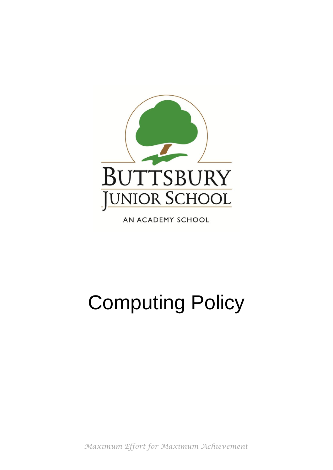

AN ACADEMY SCHOOL

# Computing Policy

*Maximum Effort for Maximum Achievement*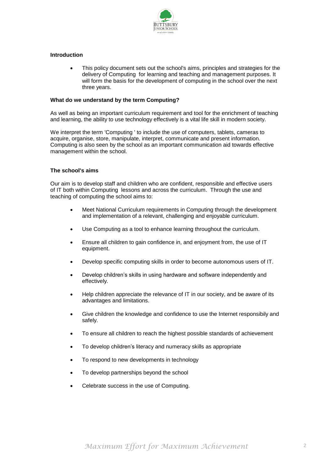

# **Introduction**

 This policy document sets out the school's aims, principles and strategies for the delivery of Computing for learning and teaching and management purposes. It will form the basis for the development of computing in the school over the next three years.

#### **What do we understand by the term Computing?**

As well as being an important curriculum requirement and tool for the enrichment of teaching and learning, the ability to use technology effectively is a vital life skill in modern society.

We interpret the term 'Computing ' to include the use of computers, tablets, cameras to acquire, organise, store, manipulate, interpret, communicate and present information. Computing is also seen by the school as an important communication aid towards effective management within the school.

#### **The school's aims**

Our aim is to develop staff and children who are confident, responsible and effective users of IT both within Computing lessons and across the curriculum. Through the use and teaching of computing the school aims to:

- Meet National Curriculum requirements in Computing through the development and implementation of a relevant, challenging and enjoyable curriculum.
- Use Computing as a tool to enhance learning throughout the curriculum.
- Ensure all children to gain confidence in, and enjoyment from, the use of IT equipment.
- Develop specific computing skills in order to become autonomous users of IT.
- Develop children's skills in using hardware and software independently and effectively.
- Help children appreciate the relevance of IT in our society, and be aware of its advantages and limitations.
- Give children the knowledge and confidence to use the Internet responsibily and safely.
- To ensure all children to reach the highest possible standards of achievement
- To develop children's literacy and numeracy skills as appropriate
- To respond to new developments in technology
- To develop partnerships beyond the school
- Celebrate success in the use of Computing.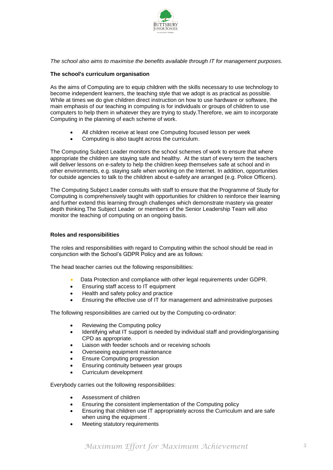

*The school also aims to maximise the benefits available through IT for management purposes.*

# **The school's curriculum organisation**

As the aims of Computing are to equip children with the skills necessary to use technology to become independent learners, the teaching style that we adopt is as practical as possible. While at times we do give children direct instruction on how to use hardware or software, the main emphasis of our teaching in computing is for individuals or groups of children to use computers to help them in whatever they are trying to study.Therefore, we aim to incorporate Computing in the planning of each scheme of work.

- All children receive at least one Computing focused lesson per week
- Computing is also taught across the curriculum.

The Computing Subject Leader monitors the school schemes of work to ensure that where appropriate the children are staying safe and healthy. At the start of every term the teachers will deliver lessons on e-safety to help the children keep themselves safe at school and in other environments, e.g. staying safe when working on the Internet. In addition, opportunities for outside agencies to talk to the children about e-safety are arranged (e.g. Police Officers).

The Computing Subject Leader consults with staff to ensure that the Programme of Study for Computing is comprehensively taught with opportunities for children to reinforce their learning and further extend this learning through challenges which demonstrate mastery via greater depth thinking.The Subject Leader or members of the Senior Leadership Team will also monitor the teaching of computing on an ongoing basis.

### **Roles and responsibilities**

The roles and responsibilities with regard to Computing within the school should be read in conjunction with the School's GDPR Policy and are as follows:

The head teacher carries out the following responsibilities:

- Data Protection and compliance with other legal requirements under GDPR.
- Ensuring staff access to IT equipment
- Health and safety policy and practice
- Ensuring the effective use of IT for management and administrative purposes

The following responsibilities are carried out by the Computing co-ordinator:

- Reviewing the Computing policy
- Identifying what IT support is needed by individual staff and providing/organising CPD as appropriate.
- Liaison with feeder schools and or receiving schools
- Overseeing equipment maintenance
- Ensure Computing progression
- Ensuring continuity between year groups
- Curriculum development

Everybody carries out the following responsibilities:

- Assessment of children
- Ensuring the consistent implementation of the Computing policy
- Ensuring that children use IT appropriately across the Curriculum and are safe when using the equipment .
- Meeting statutory requirements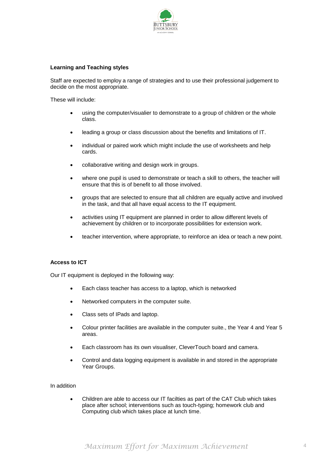

# **Learning and Teaching styles**

Staff are expected to employ a range of strategies and to use their professional judgement to decide on the most appropriate.

These will include:

- using the computer/visualier to demonstrate to a group of children or the whole class.
- leading a group or class discussion about the benefits and limitations of IT.
- individual or paired work which might include the use of worksheets and help cards.
- collaborative writing and design work in groups.
- where one pupil is used to demonstrate or teach a skill to others, the teacher will ensure that this is of benefit to all those involved.
- groups that are selected to ensure that all children are equally active and involved in the task, and that all have equal access to the IT equipment.
- activities using IT equipment are planned in order to allow different levels of achievement by children or to incorporate possibilities for extension work.
- teacher intervention, where appropriate, to reinforce an idea or teach a new point.

## **Access to ICT**

Our IT equipment is deployed in the following way:

- Each class teacher has access to a laptop, which is networked
- Networked computers in the computer suite.
- Class sets of IPads and laptop.
- Colour printer facilities are available in the computer suite., the Year 4 and Year 5 areas.
- Each classroom has its own visualiser, CleverTouch board and camera.
- Control and data logging equipment is available in and stored in the appropriate Year Groups.

#### In addition

 Children are able to access our IT facilties as part of the CAT Club which takes place after school; interventions such as touch-typing; homework club and Computing club which takes place at lunch time.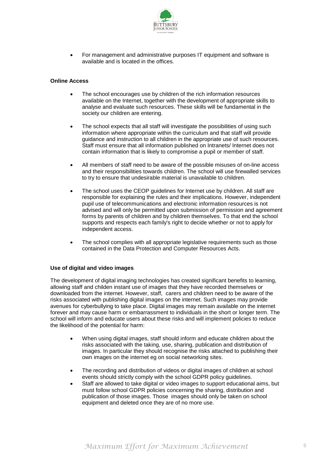

 For management and administrative purposes IT equipment and software is available and is located in the offices.

## **Online Access**

- The school encourages use by children of the rich information resources available on the Internet, together with the development of appropriate skills to analyse and evaluate such resources. These skills will be fundamental in the society our children are entering.
- The school expects that all staff will investigate the possibilities of using such information where appropriate within the curriculum and that staff will provide guidance and instruction to all children in the appropriate use of such resources. Staff must ensure that all information published on Intranets/ Internet does not contain information that is likely to compromise a pupil or member of staff.
- All members of staff need to be aware of the possible misuses of on-line access and their responsibilities towards children. The school will use firewalled services to try to ensure that undesirable material is unavailable to children.
- The school uses the CEOP guidelines for Internet use by children. All staff are responsible for explaining the rules and their implications. However, independent pupil use of telecommunications and electronic information resources is not advised and will only be permitted upon submission of permission and agreement forms by parents of children and by children themselves. To that end the school supports and respects each family's right to decide whether or not to apply for independent access.
- The school complies with all appropriate legislative requirements such as those contained in the Data Protection and Computer Resources Acts.

#### **Use of digital and video images**

The development of digital imaging technologies has created significant benefits to learning, allowing staff and childen instant use of images that they have recorded themselves or downloaded from the internet. However, staff, carers and children need to be aware of the risks associated with publishing digital images on the internet. Such images may provide avenues for cyberbullying to take place. Digital images may remain available on the internet forever and may cause harm or embarrassment to individuals in the short or longer term. The school will inform and educate users about these risks and will implement policies to reduce the likelihood of the potential for harm:

- When using digital images, staff should inform and educate children about the risks associated with the taking, use, sharing, publication and distribution of images. In particular they should recognise the risks attached to publishing their own images on the internet eg on social networking sites.
- The recording and distribution of videos or digital images of children at school events should strictly comply with the school GDPR policy quidelines.
- Staff are allowed to take digital or video images to support educational aims, but must follow school GDPR policies concerning the sharing, distribution and publication of those images. Those images should only be taken on school equipment and deleted once they are of no more use.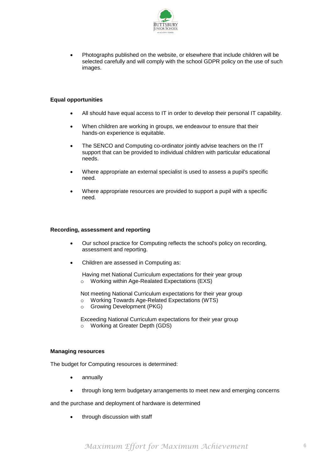

 Photographs published on the website, or elsewhere that include children will be selected carefully and will comply with the school GDPR policy on the use of such images.

# **Equal opportunities**

- All should have equal access to IT in order to develop their personal IT capability.
- When children are working in groups, we endeavour to ensure that their hands-on experience is equitable.
- The SENCO and Computing co-ordinator jointly advise teachers on the IT support that can be provided to individual children with particular educational needs.
- Where appropriate an external specialist is used to assess a pupil's specific need.
- Where appropriate resources are provided to support a pupil with a specific need.

#### **Recording, assessment and reporting**

- Our school practice for Computing reflects the school's policy on recording, assessment and reporting.
- Children are assessed in Computing as:
	- Having met National Curriculum expectations for their year group o Working within Age-Realated Expectations (EXS)

Not meeting National Curriculum expectations for their year group

- o Working Towards Age-Related Expectations (WTS)
- o Growing Development (PKG)

Exceeding National Curriculum expectations for their year group o Working at Greater Depth (GDS)

# **Managing resources**

The budget for Computing resources is determined:

- annually
- through long term budgetary arrangements to meet new and emerging concerns

and the purchase and deployment of hardware is determined

through discussion with staff